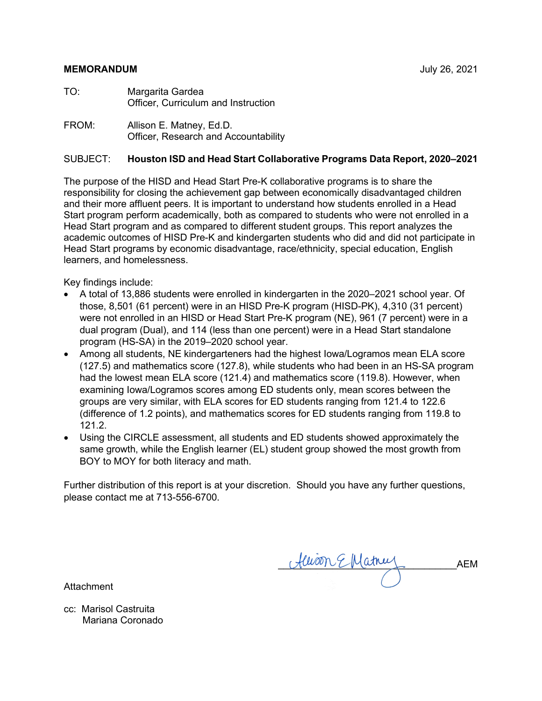#### **MEMORANDUM** July 26, 2021

- TO: Margarita Gardea Officer, Curriculum and Instruction
- FROM: Allison E. Matney, Ed.D. Officer, Research and Accountability

#### SUBJECT: **Houston ISD and Head Start Collaborative Programs Data Report, 2020–2021**

The purpose of the HISD and Head Start Pre-K collaborative programs is to share the responsibility for closing the achievement gap between economically disadvantaged children and their more affluent peers. It is important to understand how students enrolled in a Head Start program perform academically, both as compared to students who were not enrolled in a Head Start program and as compared to different student groups. This report analyzes the academic outcomes of HISD Pre-K and kindergarten students who did and did not participate in Head Start programs by economic disadvantage, race/ethnicity, special education, English learners, and homelessness.

Key findings include:

- A total of 13,886 students were enrolled in kindergarten in the 2020–2021 school year. Of those, 8,501 (61 percent) were in an HISD Pre-K program (HISD-PK), 4,310 (31 percent) were not enrolled in an HISD or Head Start Pre-K program (NE), 961 (7 percent) were in a dual program (Dual), and 114 (less than one percent) were in a Head Start standalone program (HS-SA) in the 2019–2020 school year.
- Among all students, NE kindergarteners had the highest Iowa/Logramos mean ELA score (127.5) and mathematics score (127.8), while students who had been in an HS-SA program had the lowest mean ELA score (121.4) and mathematics score (119.8). However, when examining Iowa/Logramos scores among ED students only, mean scores between the groups are very similar, with ELA scores for ED students ranging from 121.4 to 122.6 (difference of 1.2 points), and mathematics scores for ED students ranging from 119.8 to 121.2.
- Using the CIRCLE assessment, all students and ED students showed approximately the same growth, while the English learner (EL) student group showed the most growth from BOY to MOY for both literacy and math.

Further distribution of this report is at your discretion. Should you have any further questions, please contact me at 713-556-6700.

Attachment

Heison E Matnuy AEM

cc: Marisol Castruita Mariana Coronado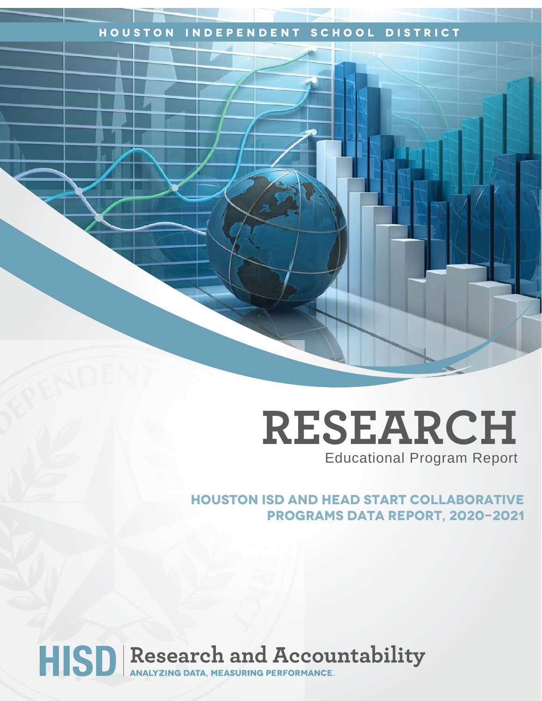## **Houston Independent School District**

## **RESEARCH** Educational Program Report

**Houston isd and head start collaborative programs data Report, 2020-2021**

# HISD Research and Accountability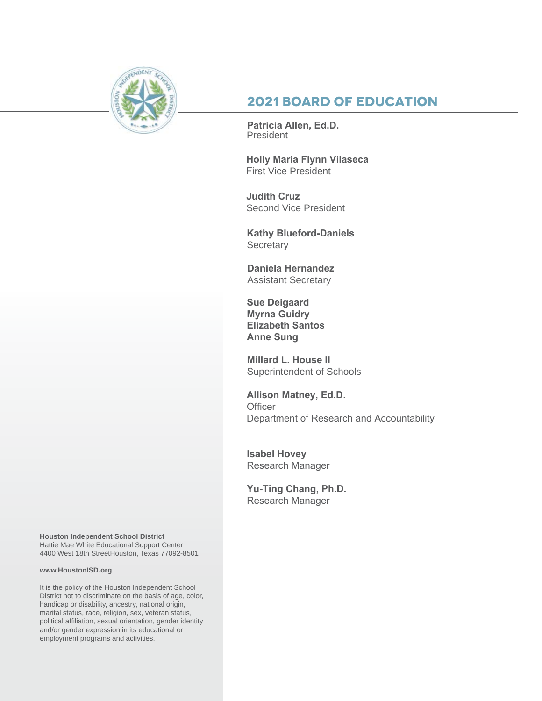

## **2021 Board of Education**

**Patricia Allen, Ed.D.** President

**Holly Maria Flynn Vilaseca**  First Vice President

**Judith Cruz**  Second Vice President

**Kathy Blueford-Daniels Secretary** 

**Daniela Hernandez** Assistant Secretary

**Sue Deigaard Myrna Guidry Elizabeth Santos Anne Sung**

**Millard L. House II** Superintendent of Schools

**Allison Matney, Ed.D. Officer** Department of Research and Accountability

**Isabel Hovey** Research Manager

**Yu-Ting Chang, Ph.D.** Research Manager

**Houston Independent School District** Hattie Mae White Educational Support Center 4400 West 18th StreetHouston, Texas 77092-8501

#### **www.HoustonISD.org**

It is the policy of the Houston Independent School District not to discriminate on the basis of age, color, handicap or disability, ancestry, national origin, marital status, race, religion, sex, veteran status, political affiliation, sexual orientation, gender identity and/or gender expression in its educational or employment programs and activities.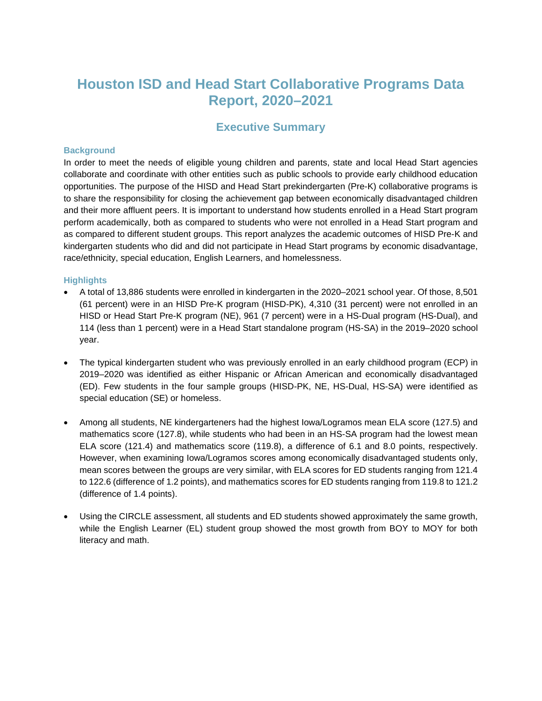## **Houston ISD and Head Start Collaborative Programs Data Report, 2020–2021**

#### **Executive Summary**

#### **Background**

In order to meet the needs of eligible young children and parents, state and local Head Start agencies collaborate and coordinate with other entities such as public schools to provide early childhood education opportunities. The purpose of the HISD and Head Start prekindergarten (Pre-K) collaborative programs is to share the responsibility for closing the achievement gap between economically disadvantaged children and their more affluent peers. It is important to understand how students enrolled in a Head Start program perform academically, both as compared to students who were not enrolled in a Head Start program and as compared to different student groups. This report analyzes the academic outcomes of HISD Pre-K and kindergarten students who did and did not participate in Head Start programs by economic disadvantage, race/ethnicity, special education, English Learners, and homelessness.

#### **Highlights**

- A total of 13,886 students were enrolled in kindergarten in the 2020–2021 school year. Of those, 8,501 (61 percent) were in an HISD Pre-K program (HISD-PK), 4,310 (31 percent) were not enrolled in an HISD or Head Start Pre-K program (NE), 961 (7 percent) were in a HS-Dual program (HS-Dual), and 114 (less than 1 percent) were in a Head Start standalone program (HS-SA) in the 2019–2020 school year.
- The typical kindergarten student who was previously enrolled in an early childhood program (ECP) in 2019–2020 was identified as either Hispanic or African American and economically disadvantaged (ED). Few students in the four sample groups (HISD-PK, NE, HS-Dual, HS-SA) were identified as special education (SE) or homeless.
- Among all students, NE kindergarteners had the highest Iowa/Logramos mean ELA score (127.5) and mathematics score (127.8), while students who had been in an HS-SA program had the lowest mean ELA score (121.4) and mathematics score (119.8), a difference of 6.1 and 8.0 points, respectively. However, when examining Iowa/Logramos scores among economically disadvantaged students only, mean scores between the groups are very similar, with ELA scores for ED students ranging from 121.4 to 122.6 (difference of 1.2 points), and mathematics scores for ED students ranging from 119.8 to 121.2 (difference of 1.4 points).
- Using the CIRCLE assessment, all students and ED students showed approximately the same growth, while the English Learner (EL) student group showed the most growth from BOY to MOY for both literacy and math.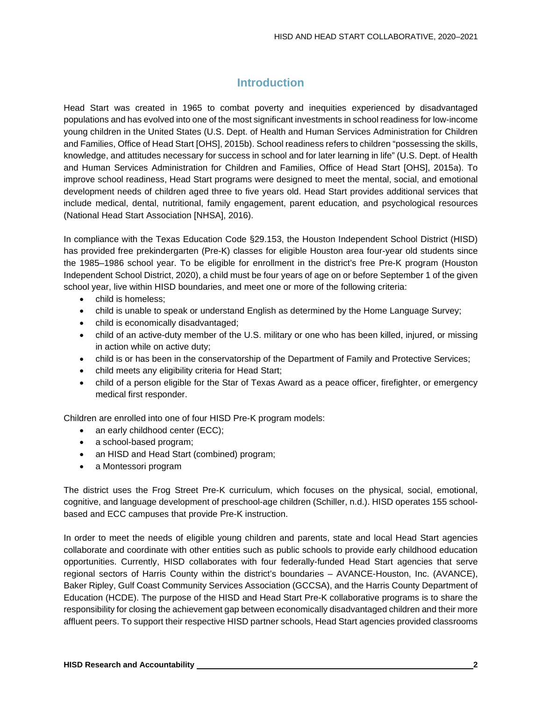## **Introduction**

Head Start was created in 1965 to combat poverty and inequities experienced by disadvantaged populations and has evolved into one of the most significant investments in school readiness for low-income young children in the United States (U.S. Dept. of Health and Human Services Administration for Children and Families, Office of Head Start [OHS], 2015b). School readiness refers to children "possessing the skills, knowledge, and attitudes necessary for success in school and for later learning in life" (U.S. Dept. of Health and Human Services Administration for Children and Families, Office of Head Start [OHS], 2015a). To improve school readiness, Head Start programs were designed to meet the mental, social, and emotional development needs of children aged three to five years old. Head Start provides additional services that include medical, dental, nutritional, family engagement, parent education, and psychological resources (National Head Start Association [NHSA], 2016).

In compliance with the Texas Education Code §29.153, the Houston Independent School District (HISD) has provided free prekindergarten (Pre-K) classes for eligible Houston area four-year old students since the 1985–1986 school year. To be eligible for enrollment in the district's free Pre-K program (Houston Independent School District, 2020), a child must be four years of age on or before September 1 of the given school year, live within HISD boundaries, and meet one or more of the following criteria:

- child is homeless;
- child is unable to speak or understand English as determined by the Home Language Survey;
- child is economically disadvantaged;
- child of an active-duty member of the U.S. military or one who has been killed, injured, or missing in action while on active duty;
- child is or has been in the conservatorship of the Department of Family and Protective Services;
- child meets any eligibility criteria for Head Start;
- child of a person eligible for the Star of Texas Award as a peace officer, firefighter, or emergency medical first responder.

Children are enrolled into one of four HISD Pre-K program models:

- an early childhood center (ECC);
- a school-based program;
- an HISD and Head Start (combined) program;
- a Montessori program

The district uses the Frog Street Pre-K curriculum, which focuses on the physical, social, emotional, cognitive, and language development of preschool-age children (Schiller, n.d.). HISD operates 155 schoolbased and ECC campuses that provide Pre-K instruction.

In order to meet the needs of eligible young children and parents, state and local Head Start agencies collaborate and coordinate with other entities such as public schools to provide early childhood education opportunities. Currently, HISD collaborates with four federally-funded Head Start agencies that serve regional sectors of Harris County within the district's boundaries – AVANCE-Houston, Inc. (AVANCE), Baker Ripley, Gulf Coast Community Services Association (GCCSA), and the Harris County Department of Education (HCDE). The purpose of the HISD and Head Start Pre-K collaborative programs is to share the responsibility for closing the achievement gap between economically disadvantaged children and their more affluent peers. To support their respective HISD partner schools, Head Start agencies provided classrooms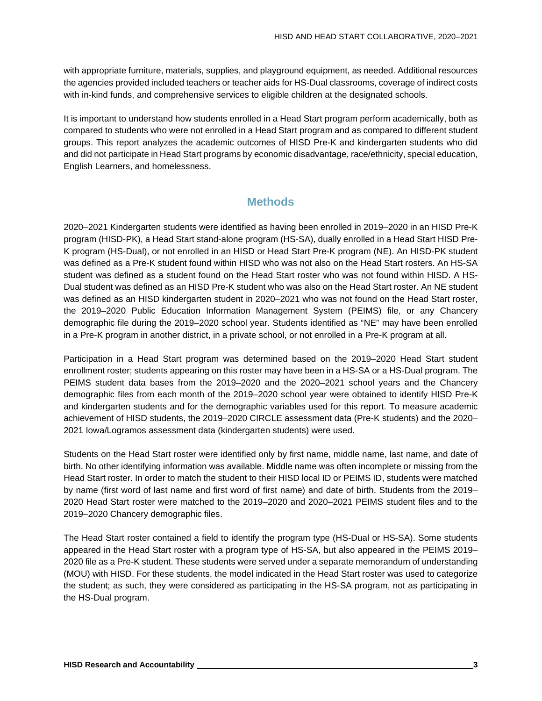with appropriate furniture, materials, supplies, and playground equipment, as needed. Additional resources the agencies provided included teachers or teacher aids for HS-Dual classrooms, coverage of indirect costs with in-kind funds, and comprehensive services to eligible children at the designated schools.

It is important to understand how students enrolled in a Head Start program perform academically, both as compared to students who were not enrolled in a Head Start program and as compared to different student groups. This report analyzes the academic outcomes of HISD Pre-K and kindergarten students who did and did not participate in Head Start programs by economic disadvantage, race/ethnicity, special education, English Learners, and homelessness.

## **Methods**

2020–2021 Kindergarten students were identified as having been enrolled in 2019–2020 in an HISD Pre-K program (HISD-PK), a Head Start stand-alone program (HS-SA), dually enrolled in a Head Start HISD Pre-K program (HS-Dual), or not enrolled in an HISD or Head Start Pre-K program (NE). An HISD-PK student was defined as a Pre-K student found within HISD who was not also on the Head Start rosters. An HS-SA student was defined as a student found on the Head Start roster who was not found within HISD. A HS-Dual student was defined as an HISD Pre-K student who was also on the Head Start roster. An NE student was defined as an HISD kindergarten student in 2020–2021 who was not found on the Head Start roster, the 2019–2020 Public Education Information Management System (PEIMS) file, or any Chancery demographic file during the 2019–2020 school year. Students identified as "NE" may have been enrolled in a Pre-K program in another district, in a private school, or not enrolled in a Pre-K program at all.

Participation in a Head Start program was determined based on the 2019–2020 Head Start student enrollment roster; students appearing on this roster may have been in a HS-SA or a HS-Dual program. The PEIMS student data bases from the 2019–2020 and the 2020–2021 school years and the Chancery demographic files from each month of the 2019–2020 school year were obtained to identify HISD Pre-K and kindergarten students and for the demographic variables used for this report. To measure academic achievement of HISD students, the 2019–2020 CIRCLE assessment data (Pre-K students) and the 2020– 2021 Iowa/Logramos assessment data (kindergarten students) were used.

Students on the Head Start roster were identified only by first name, middle name, last name, and date of birth. No other identifying information was available. Middle name was often incomplete or missing from the Head Start roster. In order to match the student to their HISD local ID or PEIMS ID, students were matched by name (first word of last name and first word of first name) and date of birth. Students from the 2019– 2020 Head Start roster were matched to the 2019–2020 and 2020–2021 PEIMS student files and to the 2019–2020 Chancery demographic files.

The Head Start roster contained a field to identify the program type (HS-Dual or HS-SA). Some students appeared in the Head Start roster with a program type of HS-SA, but also appeared in the PEIMS 2019– 2020 file as a Pre-K student. These students were served under a separate memorandum of understanding (MOU) with HISD. For these students, the model indicated in the Head Start roster was used to categorize the student; as such, they were considered as participating in the HS-SA program, not as participating in the HS-Dual program.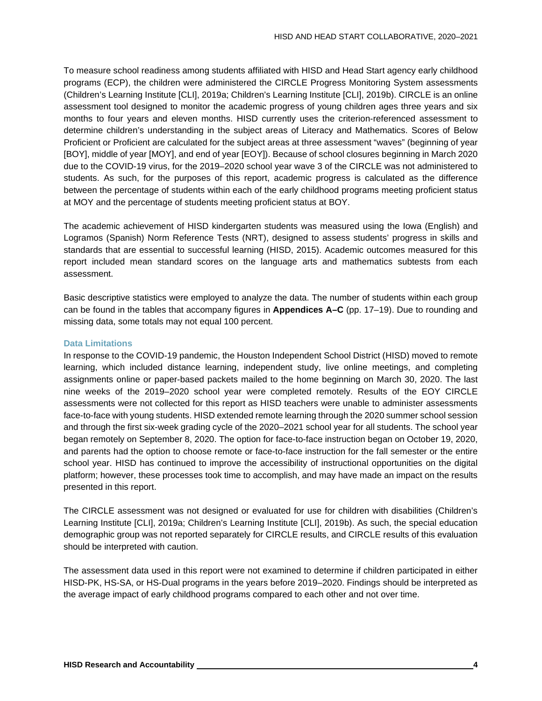To measure school readiness among students affiliated with HISD and Head Start agency early childhood programs (ECP), the children were administered the CIRCLE Progress Monitoring System assessments (Children's Learning Institute [CLI], 2019a; Children's Learning Institute [CLI], 2019b). CIRCLE is an online assessment tool designed to monitor the academic progress of young children ages three years and six months to four years and eleven months. HISD currently uses the criterion-referenced assessment to determine children's understanding in the subject areas of Literacy and Mathematics. Scores of Below Proficient or Proficient are calculated for the subject areas at three assessment "waves" (beginning of year [BOY], middle of year [MOY], and end of year [EOY]). Because of school closures beginning in March 2020 due to the COVID-19 virus, for the 2019–2020 school year wave 3 of the CIRCLE was not administered to students. As such, for the purposes of this report, academic progress is calculated as the difference between the percentage of students within each of the early childhood programs meeting proficient status at MOY and the percentage of students meeting proficient status at BOY.

The academic achievement of HISD kindergarten students was measured using the Iowa (English) and Logramos (Spanish) Norm Reference Tests (NRT), designed to assess students' progress in skills and standards that are essential to successful learning (HISD, 2015). Academic outcomes measured for this report included mean standard scores on the language arts and mathematics subtests from each assessment.

Basic descriptive statistics were employed to analyze the data. The number of students within each group can be found in the tables that accompany figures in **Appendices A–C** (pp. 17–19). Due to rounding and missing data, some totals may not equal 100 percent.

#### **Data Limitations**

In response to the COVID-19 pandemic, the Houston Independent School District (HISD) moved to remote learning, which included distance learning, independent study, live online meetings, and completing assignments online or paper-based packets mailed to the home beginning on March 30, 2020. The last nine weeks of the 2019–2020 school year were completed remotely. Results of the EOY CIRCLE assessments were not collected for this report as HISD teachers were unable to administer assessments face-to-face with young students. HISD extended remote learning through the 2020 summer school session and through the first six-week grading cycle of the 2020–2021 school year for all students. The school year began remotely on September 8, 2020. The option for face-to-face instruction began on October 19, 2020, and parents had the option to choose remote or face-to-face instruction for the fall semester or the entire school year. HISD has continued to improve the accessibility of instructional opportunities on the digital platform; however, these processes took time to accomplish, and may have made an impact on the results presented in this report.

The CIRCLE assessment was not designed or evaluated for use for children with disabilities (Children's Learning Institute [CLI], 2019a; Children's Learning Institute [CLI], 2019b). As such, the special education demographic group was not reported separately for CIRCLE results, and CIRCLE results of this evaluation should be interpreted with caution.

The assessment data used in this report were not examined to determine if children participated in either HISD-PK, HS-SA, or HS-Dual programs in the years before 2019–2020. Findings should be interpreted as the average impact of early childhood programs compared to each other and not over time.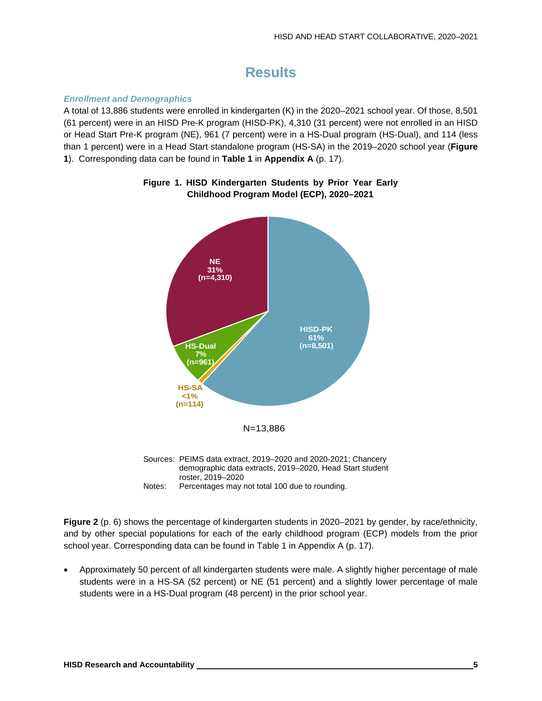## **Results**

#### *Enrollment and Demographics*

A total of 13,886 students were enrolled in kindergarten (K) in the 2020–2021 school year. Of those, 8,501 (61 percent) were in an HISD Pre-K program (HISD-PK), 4,310 (31 percent) were not enrolled in an HISD or Head Start Pre-K program (NE), 961 (7 percent) were in a HS-Dual program (HS-Dual), and 114 (less than 1 percent) were in a Head Start standalone program (HS-SA) in the 2019–2020 school year (**Figure 1**). Corresponding data can be found in **Table 1** in **Appendix A** (p. 17).



#### **Figure 1. HISD Kindergarten Students by Prior Year Early Childhood Program Model (ECP), 2020–2021**

demographic data extracts, 2019–2020, Head Start student roster, 2019–2020 Notes: Percentages may not total 100 due to rounding.

**Figure 2** (p. 6) shows the percentage of kindergarten students in 2020–2021 by gender, by race/ethnicity, and by other special populations for each of the early childhood program (ECP) models from the prior school year. Corresponding data can be found in Table 1 in Appendix A (p. 17).

• Approximately 50 percent of all kindergarten students were male. A slightly higher percentage of male students were in a HS-SA (52 percent) or NE (51 percent) and a slightly lower percentage of male students were in a HS-Dual program (48 percent) in the prior school year.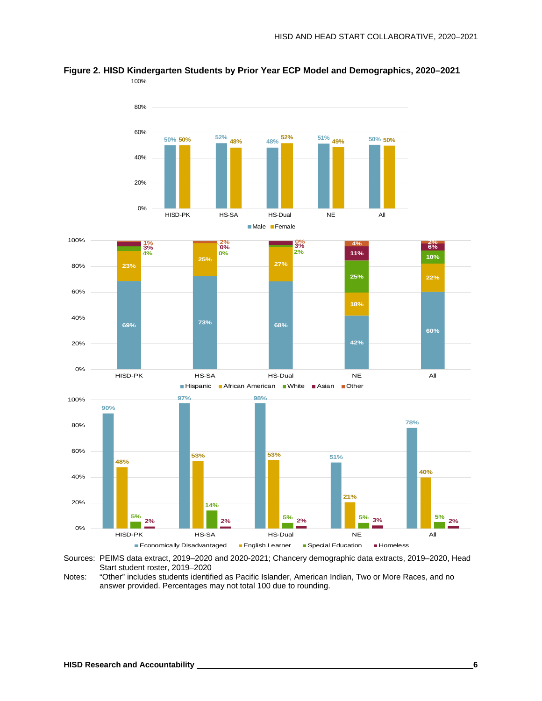

**Figure 2. HISD Kindergarten Students by Prior Year ECP Model and Demographics, 2020–2021** 100%

Sources: PEIMS data extract, 2019–2020 and 2020-2021; Chancery demographic data extracts, 2019–2020, Head Start student roster, 2019–2020

Notes: "Other" includes students identified as Pacific Islander, American Indian, Two or More Races, and no answer provided. Percentages may not total 100 due to rounding.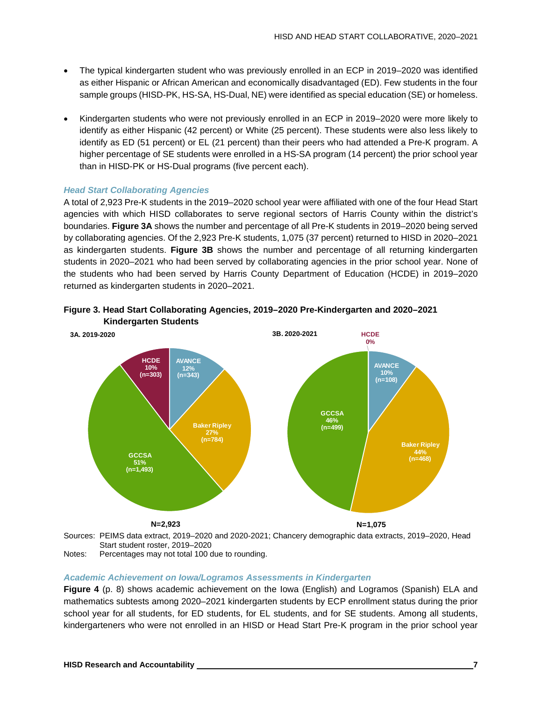- The typical kindergarten student who was previously enrolled in an ECP in 2019–2020 was identified as either Hispanic or African American and economically disadvantaged (ED). Few students in the four sample groups (HISD-PK, HS-SA, HS-Dual, NE) were identified as special education (SE) or homeless.
- Kindergarten students who were not previously enrolled in an ECP in 2019–2020 were more likely to identify as either Hispanic (42 percent) or White (25 percent). These students were also less likely to identify as ED (51 percent) or EL (21 percent) than their peers who had attended a Pre-K program. A higher percentage of SE students were enrolled in a HS-SA program (14 percent) the prior school year than in HISD-PK or HS-Dual programs (five percent each).

#### *Head Start Collaborating Agencies*

A total of 2,923 Pre-K students in the 2019–2020 school year were affiliated with one of the four Head Start agencies with which HISD collaborates to serve regional sectors of Harris County within the district's boundaries. **Figure 3A** shows the number and percentage of all Pre-K students in 2019–2020 being served by collaborating agencies. Of the 2,923 Pre-K students, 1,075 (37 percent) returned to HISD in 2020–2021 as kindergarten students. **Figure 3B** shows the number and percentage of all returning kindergarten students in 2020–2021 who had been served by collaborating agencies in the prior school year. None of the students who had been served by Harris County Department of Education (HCDE) in 2019–2020 returned as kindergarten students in 2020–2021.



#### **Figure 3. Head Start Collaborating Agencies, 2019–2020 Pre-Kindergarten and 2020–2021 Kindergarten Students**

Sources: PEIMS data extract, 2019–2020 and 2020-2021; Chancery demographic data extracts, 2019–2020, Head Start student roster, 2019–2020

Notes: Percentages may not total 100 due to rounding.

#### *Academic Achievement on Iowa/Logramos Assessments in Kindergarten*

**Figure 4** (p. 8) shows academic achievement on the Iowa (English) and Logramos (Spanish) ELA and mathematics subtests among 2020–2021 kindergarten students by ECP enrollment status during the prior school year for all students, for ED students, for EL students, and for SE students. Among all students, kindergarteners who were not enrolled in an HISD or Head Start Pre-K program in the prior school year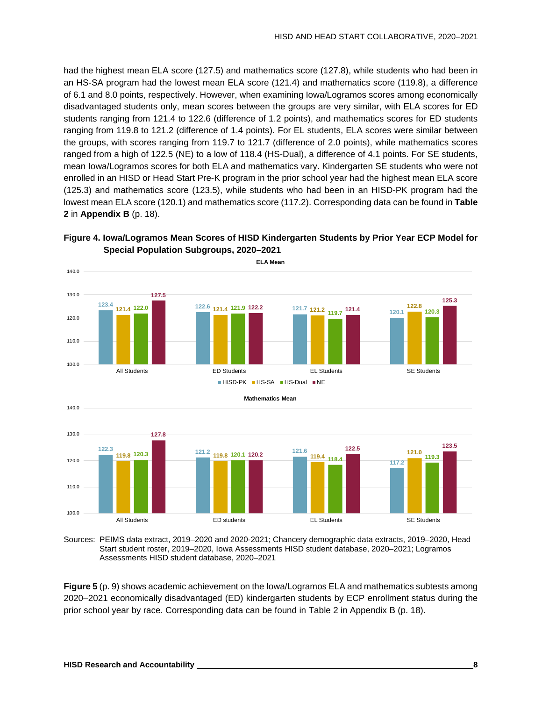had the highest mean ELA score (127.5) and mathematics score (127.8), while students who had been in an HS-SA program had the lowest mean ELA score (121.4) and mathematics score (119.8), a difference of 6.1 and 8.0 points, respectively. However, when examining Iowa/Logramos scores among economically disadvantaged students only, mean scores between the groups are very similar, with ELA scores for ED students ranging from 121.4 to 122.6 (difference of 1.2 points), and mathematics scores for ED students ranging from 119.8 to 121.2 (difference of 1.4 points). For EL students, ELA scores were similar between the groups, with scores ranging from 119.7 to 121.7 (difference of 2.0 points), while mathematics scores ranged from a high of 122.5 (NE) to a low of 118.4 (HS-Dual), a difference of 4.1 points. For SE students, mean Iowa/Logramos scores for both ELA and mathematics vary. Kindergarten SE students who were not enrolled in an HISD or Head Start Pre-K program in the prior school year had the highest mean ELA score (125.3) and mathematics score (123.5), while students who had been in an HISD-PK program had the lowest mean ELA score (120.1) and mathematics score (117.2). Corresponding data can be found in **Table 2** in **Appendix B** (p. 18).



**Figure 4. Iowa/Logramos Mean Scores of HISD Kindergarten Students by Prior Year ECP Model for Special Population Subgroups, 2020–2021**

Sources: PEIMS data extract, 2019–2020 and 2020-2021; Chancery demographic data extracts, 2019–2020, Head Start student roster, 2019–2020, Iowa Assessments HISD student database, 2020–2021; Logramos Assessments HISD student database, 2020–2021

**Figure 5** (p. 9) shows academic achievement on the Iowa/Logramos ELA and mathematics subtests among 2020–2021 economically disadvantaged (ED) kindergarten students by ECP enrollment status during the prior school year by race. Corresponding data can be found in Table 2 in Appendix B (p. 18).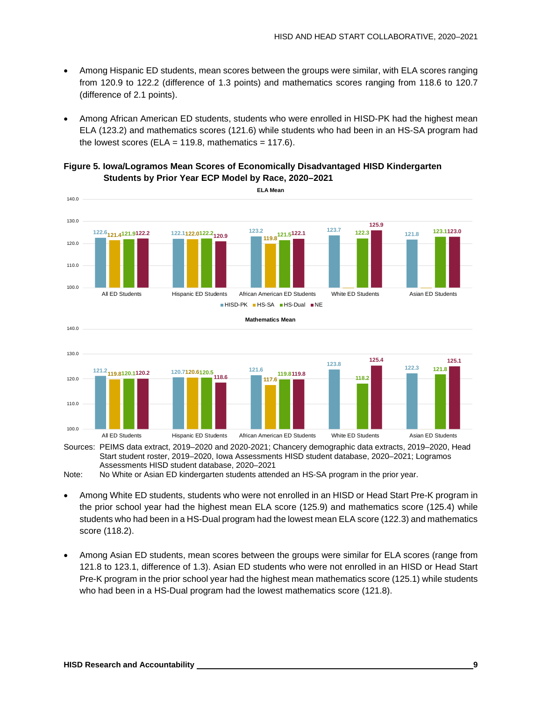- Among Hispanic ED students, mean scores between the groups were similar, with ELA scores ranging from 120.9 to 122.2 (difference of 1.3 points) and mathematics scores ranging from 118.6 to 120.7 (difference of 2.1 points).
- Among African American ED students, students who were enrolled in HISD-PK had the highest mean ELA (123.2) and mathematics scores (121.6) while students who had been in an HS-SA program had the lowest scores (ELA = 119.8, mathematics = 117.6).

**Figure 5. Iowa/Logramos Mean Scores of Economically Disadvantaged HISD Kindergarten Students by Prior Year ECP Model by Race, 2020–2021**



Sources: PEIMS data extract, 2019–2020 and 2020-2021; Chancery demographic data extracts, 2019–2020, Head Start student roster, 2019–2020, Iowa Assessments HISD student database, 2020–2021; Logramos Assessments HISD student database, 2020–2021

Note: No White or Asian ED kindergarten students attended an HS-SA program in the prior year.

- Among White ED students, students who were not enrolled in an HISD or Head Start Pre-K program in the prior school year had the highest mean ELA score (125.9) and mathematics score (125.4) while students who had been in a HS-Dual program had the lowest mean ELA score (122.3) and mathematics score (118.2).
- Among Asian ED students, mean scores between the groups were similar for ELA scores (range from 121.8 to 123.1, difference of 1.3). Asian ED students who were not enrolled in an HISD or Head Start Pre-K program in the prior school year had the highest mean mathematics score (125.1) while students who had been in a HS-Dual program had the lowest mathematics score (121.8).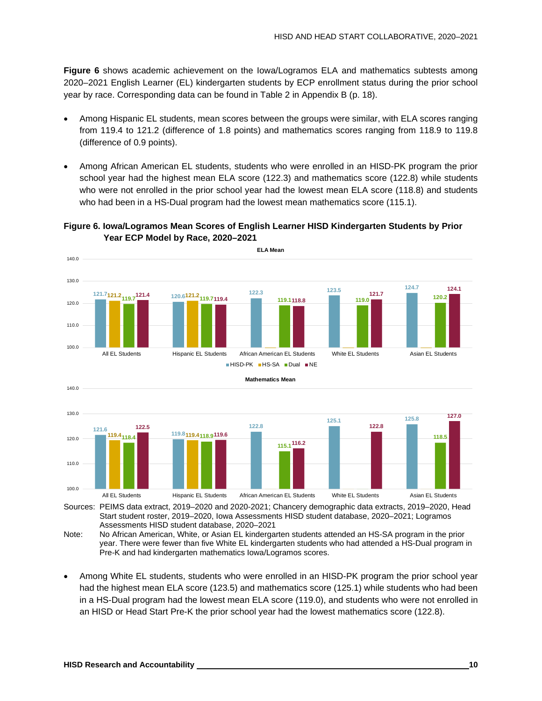**Figure 6** shows academic achievement on the Iowa/Logramos ELA and mathematics subtests among 2020–2021 English Learner (EL) kindergarten students by ECP enrollment status during the prior school year by race. Corresponding data can be found in Table 2 in Appendix B (p. 18).

- Among Hispanic EL students, mean scores between the groups were similar, with ELA scores ranging from 119.4 to 121.2 (difference of 1.8 points) and mathematics scores ranging from 118.9 to 119.8 (difference of 0.9 points).
- Among African American EL students, students who were enrolled in an HISD-PK program the prior school year had the highest mean ELA score (122.3) and mathematics score (122.8) while students who were not enrolled in the prior school year had the lowest mean ELA score (118.8) and students who had been in a HS-Dual program had the lowest mean mathematics score (115.1).



**ELA Mean**



Sources: PEIMS data extract, 2019–2020 and 2020-2021; Chancery demographic data extracts, 2019–2020, Head Start student roster, 2019–2020, Iowa Assessments HISD student database, 2020–2021; Logramos Assessments HISD student database, 2020–2021

• Among White EL students, students who were enrolled in an HISD-PK program the prior school year had the highest mean ELA score (123.5) and mathematics score (125.1) while students who had been in a HS-Dual program had the lowest mean ELA score (119.0), and students who were not enrolled in an HISD or Head Start Pre-K the prior school year had the lowest mathematics score (122.8).

Note: No African American, White, or Asian EL kindergarten students attended an HS-SA program in the prior year. There were fewer than five White EL kindergarten students who had attended a HS-Dual program in Pre-K and had kindergarten mathematics Iowa/Logramos scores.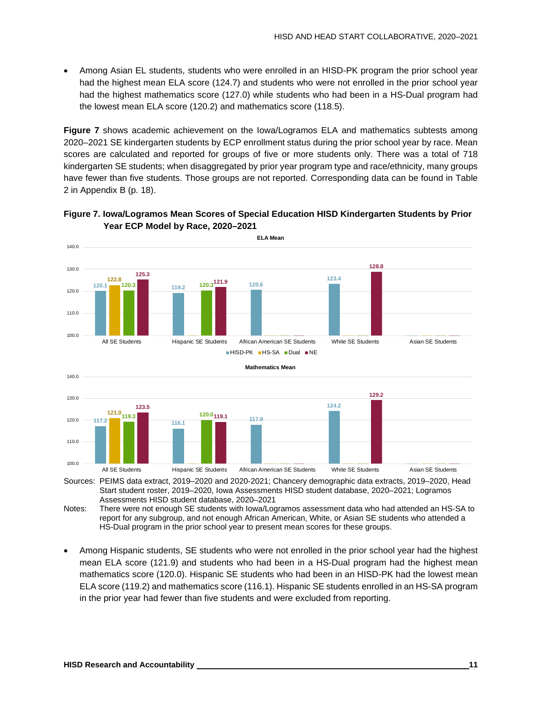• Among Asian EL students, students who were enrolled in an HISD-PK program the prior school year had the highest mean ELA score (124.7) and students who were not enrolled in the prior school year had the highest mathematics score (127.0) while students who had been in a HS-Dual program had the lowest mean ELA score (120.2) and mathematics score (118.5).

**Figure 7** shows academic achievement on the Iowa/Logramos ELA and mathematics subtests among 2020–2021 SE kindergarten students by ECP enrollment status during the prior school year by race. Mean scores are calculated and reported for groups of five or more students only. There was a total of 718 kindergarten SE students; when disaggregated by prior year program type and race/ethnicity, many groups have fewer than five students. Those groups are not reported. Corresponding data can be found in Table 2 in Appendix B (p. 18).





Sources: PEIMS data extract, 2019–2020 and 2020-2021; Chancery demographic data extracts, 2019–2020, Head Start student roster, 2019–2020, Iowa Assessments HISD student database, 2020–2021; Logramos Assessments HISD student database, 2020–2021

Notes: There were not enough SE students with Iowa/Logramos assessment data who had attended an HS-SA to report for any subgroup, and not enough African American, White, or Asian SE students who attended a HS-Dual program in the prior school year to present mean scores for these groups.

• Among Hispanic students, SE students who were not enrolled in the prior school year had the highest mean ELA score (121.9) and students who had been in a HS-Dual program had the highest mean mathematics score (120.0). Hispanic SE students who had been in an HISD-PK had the lowest mean ELA score (119.2) and mathematics score (116.1). Hispanic SE students enrolled in an HS-SA program in the prior year had fewer than five students and were excluded from reporting.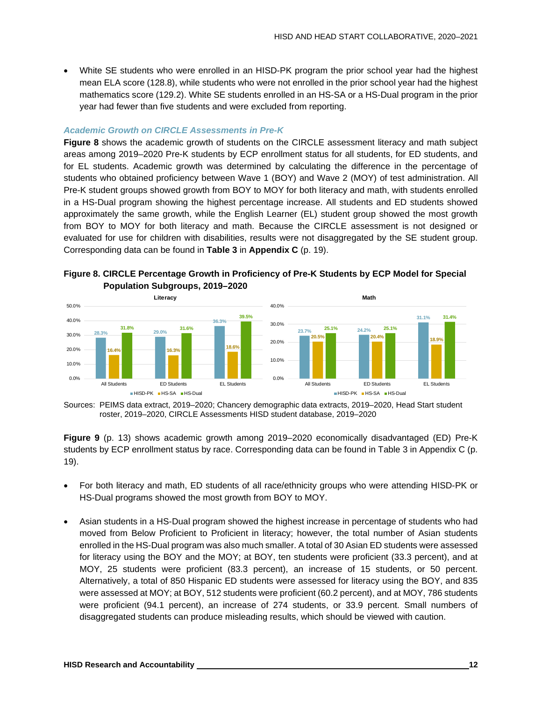• White SE students who were enrolled in an HISD-PK program the prior school year had the highest mean ELA score (128.8), while students who were not enrolled in the prior school year had the highest mathematics score (129.2). White SE students enrolled in an HS-SA or a HS-Dual program in the prior year had fewer than five students and were excluded from reporting.

#### *Academic Growth on CIRCLE Assessments in Pre-K*

**Figure 8** shows the academic growth of students on the CIRCLE assessment literacy and math subject areas among 2019–2020 Pre-K students by ECP enrollment status for all students, for ED students, and for EL students. Academic growth was determined by calculating the difference in the percentage of students who obtained proficiency between Wave 1 (BOY) and Wave 2 (MOY) of test administration. All Pre-K student groups showed growth from BOY to MOY for both literacy and math, with students enrolled in a HS-Dual program showing the highest percentage increase. All students and ED students showed approximately the same growth, while the English Learner (EL) student group showed the most growth from BOY to MOY for both literacy and math. Because the CIRCLE assessment is not designed or evaluated for use for children with disabilities, results were not disaggregated by the SE student group. Corresponding data can be found in **Table 3** in **Appendix C** (p. 19).



**Figure 8. CIRCLE Percentage Growth in Proficiency of Pre-K Students by ECP Model for Special Population Subgroups, 2019–2020**

Sources: PEIMS data extract, 2019–2020; Chancery demographic data extracts, 2019–2020, Head Start student roster, 2019–2020, CIRCLE Assessments HISD student database, 2019–2020

**Figure 9** (p. 13) shows academic growth among 2019–2020 economically disadvantaged (ED) Pre-K students by ECP enrollment status by race. Corresponding data can be found in Table 3 in Appendix C (p. 19).

- For both literacy and math, ED students of all race/ethnicity groups who were attending HISD-PK or HS-Dual programs showed the most growth from BOY to MOY.
- Asian students in a HS-Dual program showed the highest increase in percentage of students who had moved from Below Proficient to Proficient in literacy; however, the total number of Asian students enrolled in the HS-Dual program was also much smaller. A total of 30 Asian ED students were assessed for literacy using the BOY and the MOY; at BOY, ten students were proficient (33.3 percent), and at MOY, 25 students were proficient (83.3 percent), an increase of 15 students, or 50 percent. Alternatively, a total of 850 Hispanic ED students were assessed for literacy using the BOY, and 835 were assessed at MOY; at BOY, 512 students were proficient (60.2 percent), and at MOY, 786 students were proficient (94.1 percent), an increase of 274 students, or 33.9 percent. Small numbers of disaggregated students can produce misleading results, which should be viewed with caution.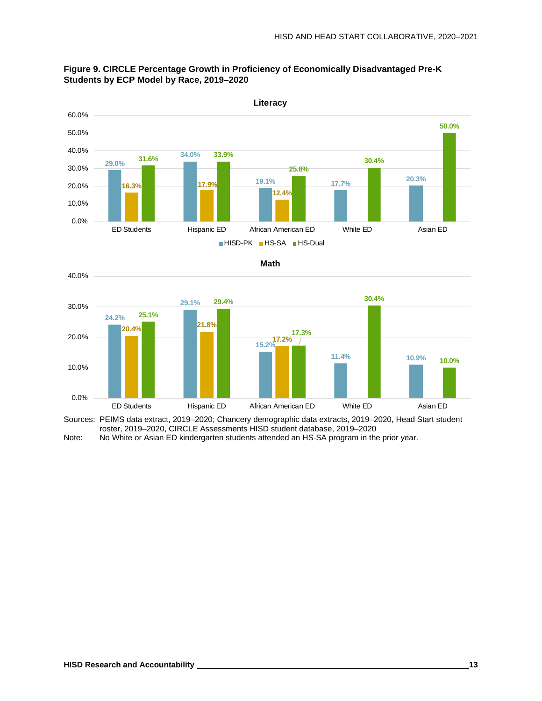







Sources: PEIMS data extract, 2019–2020; Chancery demographic data extracts, 2019–2020, Head Start student roster, 2019–2020, CIRCLE Assessments HISD student database, 2019–2020

Note: No White or Asian ED kindergarten students attended an HS-SA program in the prior year.

40.0%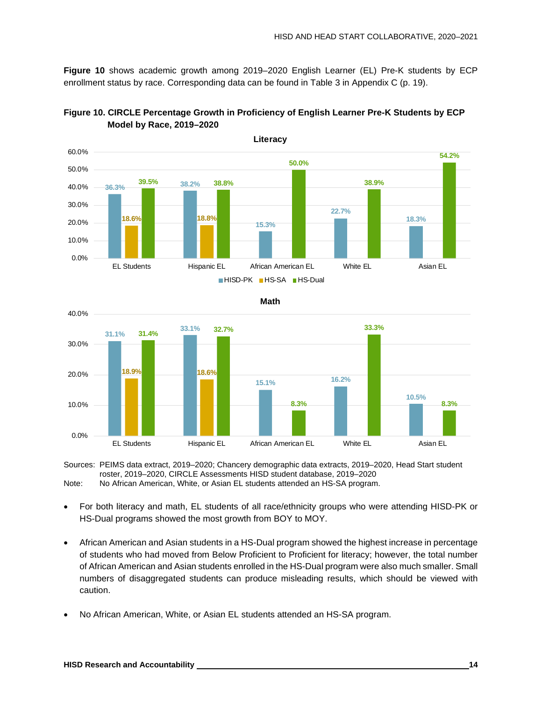**Figure 10** shows academic growth among 2019–2020 English Learner (EL) Pre-K students by ECP enrollment status by race. Corresponding data can be found in Table 3 in Appendix C (p. 19).





#### **Math**



Sources: PEIMS data extract, 2019–2020; Chancery demographic data extracts, 2019–2020, Head Start student roster, 2019–2020, CIRCLE Assessments HISD student database, 2019–2020

Note: No African American, White, or Asian EL students attended an HS-SA program.

- For both literacy and math, EL students of all race/ethnicity groups who were attending HISD-PK or HS-Dual programs showed the most growth from BOY to MOY.
- African American and Asian students in a HS-Dual program showed the highest increase in percentage of students who had moved from Below Proficient to Proficient for literacy; however, the total number of African American and Asian students enrolled in the HS-Dual program were also much smaller. Small numbers of disaggregated students can produce misleading results, which should be viewed with caution.
- No African American, White, or Asian EL students attended an HS-SA program.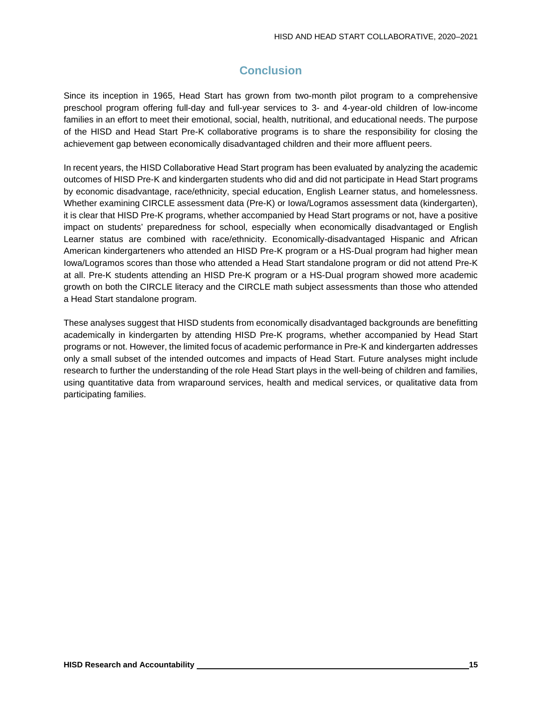## **Conclusion**

Since its inception in 1965, Head Start has grown from two-month pilot program to a comprehensive preschool program offering full-day and full-year services to 3- and 4-year-old children of low-income families in an effort to meet their emotional, social, health, nutritional, and educational needs. The purpose of the HISD and Head Start Pre-K collaborative programs is to share the responsibility for closing the achievement gap between economically disadvantaged children and their more affluent peers.

In recent years, the HISD Collaborative Head Start program has been evaluated by analyzing the academic outcomes of HISD Pre-K and kindergarten students who did and did not participate in Head Start programs by economic disadvantage, race/ethnicity, special education, English Learner status, and homelessness. Whether examining CIRCLE assessment data (Pre-K) or Iowa/Logramos assessment data (kindergarten), it is clear that HISD Pre-K programs, whether accompanied by Head Start programs or not, have a positive impact on students' preparedness for school, especially when economically disadvantaged or English Learner status are combined with race/ethnicity. Economically-disadvantaged Hispanic and African American kindergarteners who attended an HISD Pre-K program or a HS-Dual program had higher mean Iowa/Logramos scores than those who attended a Head Start standalone program or did not attend Pre-K at all. Pre-K students attending an HISD Pre-K program or a HS-Dual program showed more academic growth on both the CIRCLE literacy and the CIRCLE math subject assessments than those who attended a Head Start standalone program.

These analyses suggest that HISD students from economically disadvantaged backgrounds are benefitting academically in kindergarten by attending HISD Pre-K programs, whether accompanied by Head Start programs or not. However, the limited focus of academic performance in Pre-K and kindergarten addresses only a small subset of the intended outcomes and impacts of Head Start. Future analyses might include research to further the understanding of the role Head Start plays in the well-being of children and families, using quantitative data from wraparound services, health and medical services, or qualitative data from participating families.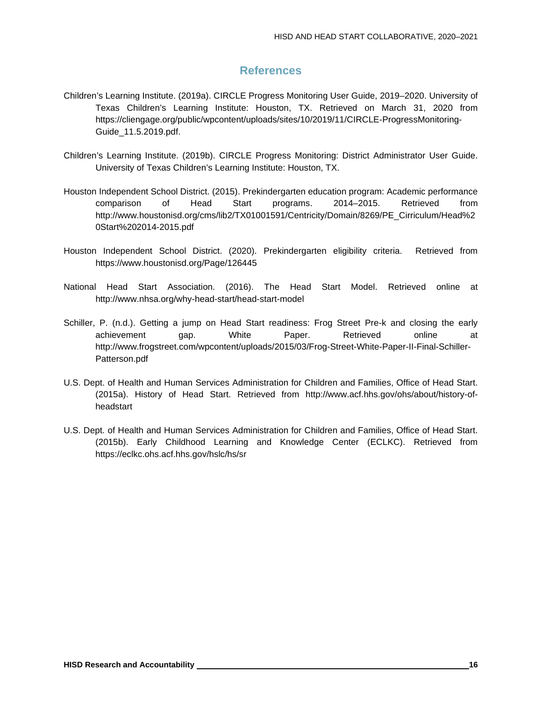## **References**

- Children's Learning Institute. (2019a). CIRCLE Progress Monitoring User Guide, 2019–2020. University of Texas Children's Learning Institute: Houston, TX. Retrieved on March 31, 2020 from https://cliengage.org/public/wpcontent/uploads/sites/10/2019/11/CIRCLE-ProgressMonitoring-Guide\_11.5.2019.pdf.
- Children's Learning Institute. (2019b). CIRCLE Progress Monitoring: District Administrator User Guide. University of Texas Children's Learning Institute: Houston, TX.
- Houston Independent School District. (2015). Prekindergarten education program: Academic performance comparison of Head Start programs. 2014–2015. Retrieved from http://www.houstonisd.org/cms/lib2/TX01001591/Centricity/Domain/8269/PE\_Cirriculum/Head%2 0Start%202014-2015.pdf
- Houston Independent School District. (2020). Prekindergarten eligibility criteria. Retrieved from https://www.houstonisd.org/Page/126445
- National Head Start Association. (2016). The Head Start Model. Retrieved online at http://www.nhsa.org/why-head-start/head-start-model
- Schiller, P. (n.d.). Getting a jump on Head Start readiness: Frog Street Pre-k and closing the early achievement gap. White Paper. Retrieved online at http://www.frogstreet.com/wpcontent/uploads/2015/03/Frog-Street-White-Paper-II-Final-Schiller-Patterson.pdf
- U.S. Dept. of Health and Human Services Administration for Children and Families, Office of Head Start. (2015a). History of Head Start. Retrieved from http://www.acf.hhs.gov/ohs/about/history-ofheadstart
- U.S. Dept. of Health and Human Services Administration for Children and Families, Office of Head Start. (2015b). Early Childhood Learning and Knowledge Center (ECLKC). Retrieved from https://eclkc.ohs.acf.hhs.gov/hslc/hs/sr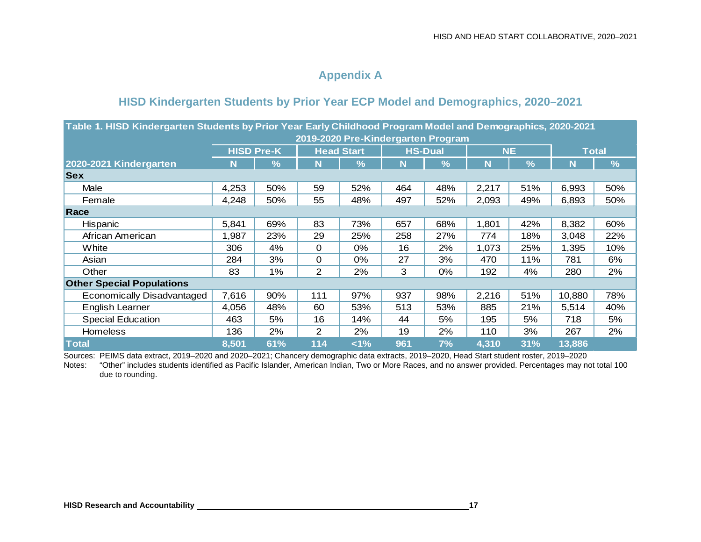## **Appendix A**

## **HISD Kindergarten Students by Prior Year ECP Model and Demographics, 2020–2021**

| Table 1. HISD Kindergarten Students by Prior Year Early Childhood Program Model and Demographics, 2020-2021 |                    |                   |                |                   |             |                |       |               |              |               |  |  |  |  |
|-------------------------------------------------------------------------------------------------------------|--------------------|-------------------|----------------|-------------------|-------------|----------------|-------|---------------|--------------|---------------|--|--|--|--|
| 2019-2020 Pre-Kindergarten Program                                                                          |                    |                   |                |                   |             |                |       |               |              |               |  |  |  |  |
|                                                                                                             |                    | <b>HISD Pre-K</b> |                | <b>Head Start</b> |             | <b>HS-Dual</b> |       | <b>NE</b>     | <b>Total</b> |               |  |  |  |  |
| 2020-2021 Kindergarten                                                                                      | $\frac{9}{6}$<br>N |                   | N              | $\frac{9}{6}$     | $\mathbf N$ | %              | N     | $\frac{9}{6}$ | N            | $\frac{9}{6}$ |  |  |  |  |
| <b>Sex</b>                                                                                                  |                    |                   |                |                   |             |                |       |               |              |               |  |  |  |  |
| Male                                                                                                        | 4,253              | 50%               | 59             | 52%               | 464         | 48%            | 2,217 | 51%           | 6,993        | 50%           |  |  |  |  |
| Female                                                                                                      | 4,248              | 50%               | 55             | 48%               | 497         | 52%            | 2,093 | 49%           | 6,893        | 50%           |  |  |  |  |
| Race                                                                                                        |                    |                   |                |                   |             |                |       |               |              |               |  |  |  |  |
| Hispanic                                                                                                    | 5,841              | 69%               | 83             | 73%               | 657         | 68%            | 1,801 | 42%           | 8,382        | 60%           |  |  |  |  |
| African American                                                                                            | 1,987              | 23%               | 29             | 25%               | 258         | 27%            | 774   | 18%           | 3,048        | 22%           |  |  |  |  |
| White                                                                                                       | 306                | 4%                | $\mathbf 0$    | 0%                | 16          | 2%             | 1,073 | 25%           | 1,395        | 10%           |  |  |  |  |
| Asian                                                                                                       | 284                | 3%                | $\mathbf 0$    | 0%                | 27          | 3%             | 470   | 11%           | 781          | 6%            |  |  |  |  |
| Other                                                                                                       | 83                 | 1%                | $\overline{2}$ | 2%                | 3           | $0\%$          | 192   | 4%            | 280          | 2%            |  |  |  |  |
| <b>Other Special Populations</b>                                                                            |                    |                   |                |                   |             |                |       |               |              |               |  |  |  |  |
| <b>Economically Disadvantaged</b>                                                                           | 7,616              | 90%               | 111            | 97%               | 937         | 98%            | 2,216 | 51%           | 10,880       | 78%           |  |  |  |  |
| English Learner                                                                                             | 4,056              | 48%               | 60             | 53%               | 513         | 53%            | 885   | 21%           | 5,514        | 40%           |  |  |  |  |
| <b>Special Education</b>                                                                                    | 463                | 5%                | 16             | 14%               | 44          | 5%             | 195   | 5%            | 718          | 5%            |  |  |  |  |
| <b>Homeless</b>                                                                                             | 136                | 2%                | 2              | 2%                | 19          | 2%             | 110   | 3%            | 267          | 2%            |  |  |  |  |
| Total                                                                                                       | 8,501              | 61%               | 114            | $< 1\%$           | 961         | 7%             | 4,310 | 31%           | 13,886       |               |  |  |  |  |

Sources: PEIMS data extract, 2019–2020 and 2020–2021; Chancery demographic data extracts, 2019–2020, Head Start student roster, 2019–2020

Notes: "Other" includes students identified as Pacific Islander, American Indian, Two or More Races, and no answer provided. Percentages may not total 100 due to rounding.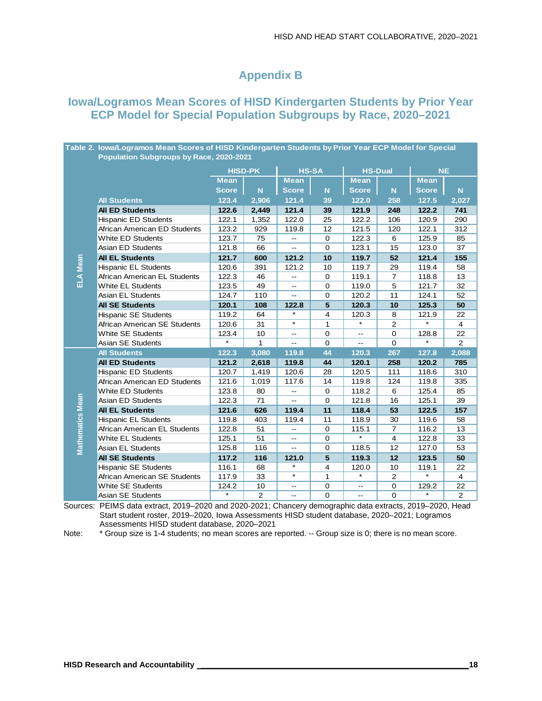## **Appendix B**

#### **Iowa/Logramos Mean Scores of HISD Kindergarten Students by Prior Year ECP Model for Special Population Subgroups by Race, 2020–2021**

| Table 2. Iowa/Logramos Mean Scores of HISD Kindergarten Students by Prior Year ECP Model for Special |                                         |              |                |                          |                |                |                |              |                |  |  |  |  |  |
|------------------------------------------------------------------------------------------------------|-----------------------------------------|--------------|----------------|--------------------------|----------------|----------------|----------------|--------------|----------------|--|--|--|--|--|
|                                                                                                      | Population Subgroups by Race, 2020-2021 |              |                |                          |                |                |                |              |                |  |  |  |  |  |
|                                                                                                      |                                         |              | <b>HISD-PK</b> |                          | <b>HS-SA</b>   | <b>HS-Dual</b> |                | <b>NE</b>    |                |  |  |  |  |  |
|                                                                                                      |                                         | <b>Mean</b>  |                | <b>Mean</b>              |                | <b>Mean</b>    |                | <b>Mean</b>  |                |  |  |  |  |  |
|                                                                                                      |                                         | <b>Score</b> | N              | <b>Score</b>             | N              | <b>Score</b>   | N <sub>1</sub> | <b>Score</b> | N              |  |  |  |  |  |
|                                                                                                      | <b>All Students</b>                     | 123.4        | 2,906          | 121.4                    | 39             | 122.0          | 258            | 127.5        | 2,027          |  |  |  |  |  |
|                                                                                                      | <b>All ED Students</b>                  | 122.6        | 2,449          | 121.4                    | 39             | 121.9          | 248            | 122.2        | 741            |  |  |  |  |  |
|                                                                                                      | <b>Hispanic ED Students</b>             | 122.1        | 1,352          | 122.0                    | 25             | 122.2          | 106            | 120.9        | 290            |  |  |  |  |  |
|                                                                                                      | African American ED Students            | 123.2        | 929            | 119.8                    | 12             | 121.5          | 120            | 122.1        | 312            |  |  |  |  |  |
|                                                                                                      | <b>White ED Students</b>                | 123.7        | 75             | --                       | 0              | 122.3          | 6              | 125.9        | 85             |  |  |  |  |  |
|                                                                                                      | Asian ED Students                       | 121.8        | 66             | --                       | $\mathbf 0$    | 123.1          | 15             | 123.0        | 37             |  |  |  |  |  |
|                                                                                                      | <b>All EL Students</b>                  | 121.7        | 600            | 121.2                    | 10             | 119.7          | 52             | 121.4        | 155            |  |  |  |  |  |
| ELA Mean                                                                                             | <b>Hispanic EL Students</b>             | 120.6        | 391            | 121.2                    | 10             | 119.7          | 29             | 119.4        | 58             |  |  |  |  |  |
|                                                                                                      | African American EL Students            | 122.3        | 46             | --                       | $\mathbf 0$    | 119.1          | $\overline{7}$ | 118.8        | 13             |  |  |  |  |  |
|                                                                                                      | <b>White EL Students</b>                | 123.5        | 49             | --                       | $\mathbf 0$    | 119.0          | 5              | 121.7        | 32             |  |  |  |  |  |
|                                                                                                      | <b>Asian EL Students</b>                | 124.7        | 110            | $\overline{a}$           | $\Omega$       | 120.2          | 11             | 124.1        | 52             |  |  |  |  |  |
|                                                                                                      | <b>All SE Students</b>                  | 120.1        | 108            | 122.8                    | 5              | 120.3          | 10             | 125.3        | 50             |  |  |  |  |  |
|                                                                                                      | <b>Hispanic SE Students</b>             | 119.2        | 64             | $\star$                  | 4              | 120.3          | 8              | 121.9        | 22             |  |  |  |  |  |
|                                                                                                      | African American SE Students            | 120.6        | 31             | $\star$                  | 1              |                | $\overline{2}$ |              | $\overline{4}$ |  |  |  |  |  |
|                                                                                                      | <b>White SE Students</b>                | 123.4        | 10             | Ξ.                       | $\mathbf 0$    | $\sim$ $\sim$  | 0              | 128.8        | 22             |  |  |  |  |  |
|                                                                                                      | Asian SE Students                       | $\star$      | 1              | Ξ.                       | $\mathbf 0$    | Ξ.             | $\mathbf{O}$   | $\star$      | $\overline{2}$ |  |  |  |  |  |
|                                                                                                      | <b>All Students</b>                     | 122.3        | 3.080          | 119.8                    | 44             | 120.3          | 267            | 127.8        | 2,088          |  |  |  |  |  |
|                                                                                                      | <b>All ED Students</b>                  | 121.2        | 2,618          | 119.8                    | 44             | 120.1          | 258            | 120.2        | 785            |  |  |  |  |  |
|                                                                                                      | <b>Hispanic ED Students</b>             | 120.7        | 1,419          | 120.6                    | 28             | 120.5          | 111            | 118.6        | 310            |  |  |  |  |  |
|                                                                                                      | African American ED Students            | 121.6        | 1,019          | 117.6                    | 14             | 119.8          | 124            | 119.8        | 335            |  |  |  |  |  |
|                                                                                                      | White ED Students                       | 123.8        | 80             | Ξ.                       | 0              | 118.2          | 6              | 125.4        | 85             |  |  |  |  |  |
|                                                                                                      | Asian ED Students                       | 122.3        | 71             | $-$                      | $\mathbf 0$    | 121.8          | 16             | 125.1        | 39             |  |  |  |  |  |
|                                                                                                      | <b>All EL Students</b>                  | 121.6        | 626            | 119.4                    | 11             | 118.4          | 53             | 122.5        | 157            |  |  |  |  |  |
|                                                                                                      | <b>Hispanic EL Students</b>             | 119.8        | 403            | 119.4                    | 11             | 118.9          | 30             | 119.6        | 58             |  |  |  |  |  |
|                                                                                                      | African American EL Students            | 122.8        | 51             | Ξ.                       | 0              | 115.1          | $\overline{7}$ | 116.2        | 13             |  |  |  |  |  |
| <b>Mathematics Mean</b>                                                                              | <b>White EL Students</b>                | 125.1        | 51             | $-$                      | $\mathbf 0$    | $\star$        | 4              | 122.8        | 33             |  |  |  |  |  |
|                                                                                                      | Asian EL Students                       | 125.8        | 116            | $-$                      | $\mathbf 0$    | 118.5          | 12             | 127.0        | 53             |  |  |  |  |  |
|                                                                                                      | <b>All SE Students</b>                  | 117.2        | 116            | 121.0                    | 5              | 119.3          | 12             | 123.5        | 50             |  |  |  |  |  |
|                                                                                                      | <b>Hispanic SE Students</b>             | 116.1        | 68             | $\star$                  | $\overline{4}$ | 120.0          | 10             | 119.1        | 22             |  |  |  |  |  |
|                                                                                                      | African American SE Students            | 117.9        | 33             | $\star$                  | 1              | $\star$        | 2              | $\star$      | 4              |  |  |  |  |  |
|                                                                                                      | <b>White SE Students</b>                | 124.2        | 10             | --                       | 0              | --             | $\mathbf{O}$   | 129.2        | 22             |  |  |  |  |  |
|                                                                                                      | Asian SE Students                       | $\star$      | $\overline{2}$ | $\overline{\phantom{a}}$ | 0              | $- -$          | $\mathbf 0$    | $\star$      | 2              |  |  |  |  |  |

Sources: PEIMS data extract, 2019–2020 and 2020-2021; Chancery demographic data extracts, 2019–2020, Head Start student roster, 2019–2020, Iowa Assessments HISD student database, 2020–2021; Logramos Assessments HISD student database, 2020–2021

Note: \* Group size is 1-4 students; no mean scores are reported. -- Group size is 0; there is no mean score.